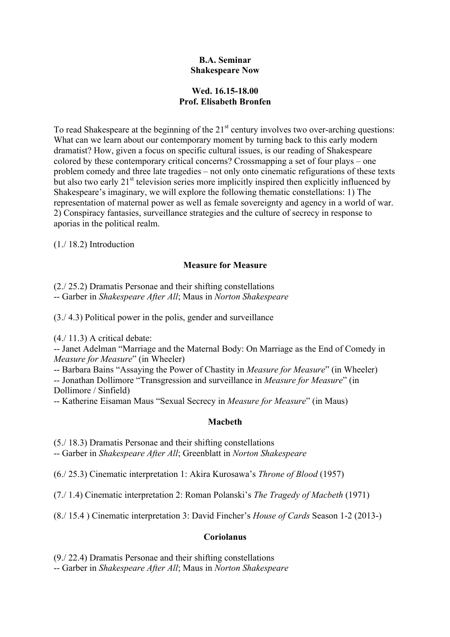### **B.A. Seminar Shakespeare Now**

# **Wed. 16.15-18.00 Prof. Elisabeth Bronfen**

To read Shakespeare at the beginning of the  $21<sup>st</sup>$  century involves two over-arching questions: What can we learn about our contemporary moment by turning back to this early modern dramatist? How, given a focus on specific cultural issues, is our reading of Shakespeare colored by these contemporary critical concerns? Crossmapping a set of four plays – one problem comedy and three late tragedies – not only onto cinematic refigurations of these texts but also two early  $21<sup>st</sup>$  television series more implicitly inspired then explicitly influenced by Shakespeare's imaginary, we will explore the following thematic constellations: 1) The representation of maternal power as well as female sovereignty and agency in a world of war. 2) Conspiracy fantasies, surveillance strategies and the culture of secrecy in response to aporias in the political realm.

(1./ 18.2) Introduction

## **Measure for Measure**

(2./ 25.2) Dramatis Personae and their shifting constellations -- Garber in *Shakespeare After All*; Maus in *Norton Shakespeare*

(3./ 4.3) Political power in the polis, gender and surveillance

(4./ 11.3) A critical debate:

-- Janet Adelman "Marriage and the Maternal Body: On Marriage as the End of Comedy in *Measure for Measure*" (in Wheeler)

-- Barbara Bains "Assaying the Power of Chastity in *Measure for Measure*" (in Wheeler) -- Jonathan Dollimore "Transgression and surveillance in *Measure for Measure*" (in Dollimore / Sinfield)

-- Katherine Eisaman Maus "Sexual Secrecy in *Measure for Measure*" (in Maus)

#### **Macbeth**

(5./ 18.3) Dramatis Personae and their shifting constellations -- Garber in *Shakespeare After All*; Greenblatt in *Norton Shakespeare*

(6./ 25.3) Cinematic interpretation 1: Akira Kurosawa's *Throne of Blood* (1957)

(7./ 1.4) Cinematic interpretation 2: Roman Polanski's *The Tragedy of Macbeth* (1971)

(8./ 15.4 ) Cinematic interpretation 3: David Fincher's *House of Cards* Season 1-2 (2013-)

#### **Coriolanus**

(9./ 22.4) Dramatis Personae and their shifting constellations

-- Garber in *Shakespeare After All*; Maus in *Norton Shakespeare*